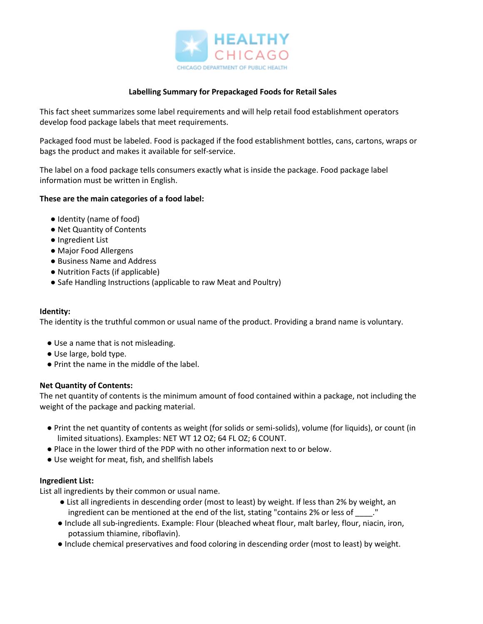

## **Labelling Summary for Prepackaged Foods for Retail Sales**

This fact sheet summarizes some label requirements and will help retail food establishment operators develop food package labels that meet requirements.

Packaged food must be labeled. Food is packaged if the food establishment bottles, cans, cartons, wraps or bags the product and makes it available for self-service.

The label on a food package tells consumers exactly what is inside the package. Food package label information must be written in English.

### **These are the main categories of a food label:**

- Identity (name of food)
- Net Quantity of Contents
- Ingredient List
- Major Food Allergens
- Business Name and Address
- Nutrition Facts (if applicable)
- Safe Handling Instructions (applicable to raw Meat and Poultry)

#### **Identity:**

The identity is the truthful common or usual name of the product. Providing a brand name is voluntary.

- Use a name that is not misleading.
- Use large, bold type.
- Print the name in the middle of the label.

### **Net Quantity of Contents:**

The net quantity of contents is the minimum amount of food contained within a package, not including the weight of the package and packing material.

- Print the net quantity of contents as weight (for solids or semi-solids), volume (for liquids), or count (in limited situations). Examples: NET WT 12 OZ; 64 FL OZ; 6 COUNT.
- Place in the lower third of the PDP with no other information next to or below.
- Use weight for meat, fish, and shellfish labels

### **Ingredient List:**

List all ingredients by their common or usual name.

- List all ingredients in descending order (most to least) by weight. If less than 2% by weight, an ingredient can be mentioned at the end of the list, stating "contains 2% or less of  $\qquad$ ."
- Include all sub-ingredients. Example: Flour (bleached wheat flour, malt barley, flour, niacin, iron, potassium thiamine, riboflavin).
- Include chemical preservatives and food coloring in descending order (most to least) by weight.